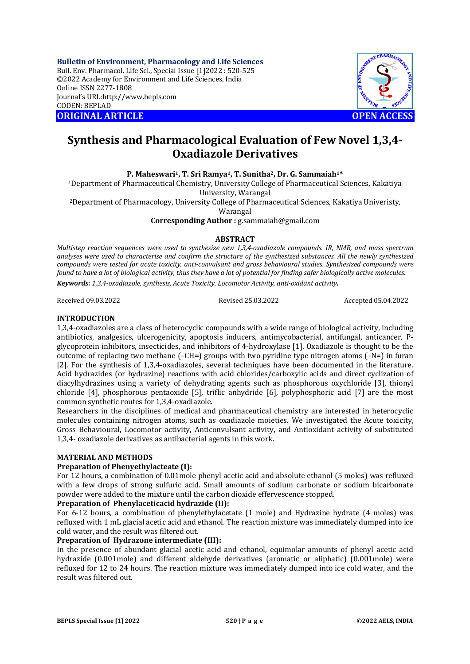**Bulletin of Environment, Pharmacology and Life Sciences** Bull. Env. Pharmacol. Life Sci., Special Issue [1]2022 : 520-525 ©2022 Academy for Environment and Life Sciences, India Online ISSN 2277-1808 Journal's URL:<http://www.bepls.com> CODEN: BEPLAD **ORIGINAL ARTICLE OPEN ACCESS** 



# **Synthesis and Pharmacological Evaluation of Few Novel 1,3,4- Oxadiazole Derivatives**

**P. Maheswari1, T. Sri Ramya1, T. Sunitha2, Dr. G. Sammaiah1\***

<sup>1</sup>Department of Pharmaceutical Chemistry, University College of Pharmaceutical Sciences, Kakatiya University, Warangal

<sup>2</sup>Department of Pharmacology, University College of Pharmaceutical Sciences, Kakatiya Univeristy,

Warangal

**Corresponding Author :** [g.sammaiah@gmail.com](mailto:g.sammaiah@gmail.com)

#### **ABSTRACT**

*Multistep reaction sequences were used to synthesize new 1,3,4-oxadiazole compounds. IR, NMR, and mass spectrum analyses were used to characterise and confirm the structure of the synthesized substances. All the newly synthesized compounds were tested for acute toxicity, anti-convulsant and gross behavioural studies. Synthesized compounds were found to have a lot of biological activity, thus they have a lot of potential for finding safer biologically active molecules. Keywords: 1,3,4-oxadiazole, synthesis, Acute Toxicity, Locomotor Activity, anti-oxidant activity*.

Received 09.03.2022 Revised 25.03.2022 Accepted 05.04.2022

#### **INTRODUCTION**

1,3,4-oxadiazoles are a class of heterocyclic compounds with a wide range of biological activity, including antibiotics, analgesics, ulcerogenicity, apoptosis inducers, antimycobacterial, antifungal, anticancer, Pglycoprotein inhibitors, insecticides, and inhibitors of 4-hydroxylase [1]. Oxadiazole is thought to be the outcome of replacing two methane  $(-CH=)$  groups with two pyridine type nitrogen atoms  $(-N=)$  in furan [2]. For the synthesis of 1,3,4-oxadiazoles, several techniques have been documented in the literature. Acid hydrazides (or hydrazine) reactions with acid chlorides/carboxylic acids and direct cyclization of diacylhydrazines using a variety of dehydrating agents such as phosphorous oxychloride [3], thionyl chloride [4], phosphorous pentaoxide [5], triflic anhydride [6], polyphosphoric acid [7] are the most common synthetic routes for 1,3,4-oxadiazole.

Researchers in the disciplines of medical and pharmaceutical chemistry are interested in heterocyclic molecules containing nitrogen atoms, such as oxadiazole moieties. We investigated the Acute toxicity, Gross Behavioural, Locomotor activity, Anticonvulsant activity, and Antioxidant activity of substituted 1,3,4- oxadiazole derivatives as antibacterial agents in this work.

## **MATERIAL AND METHODS**

#### **Preparation of Phenyethylacteate (I):**

For 12 hours, a combination of 0.01mole phenyl acetic acid and absolute ethanol (5 moles) was refluxed with a few drops of strong sulfuric acid. Small amounts of sodium carbonate or sodium bicarbonate powder were added to the mixture until the carbon dioxide effervescence stopped.

## **Preparation of Phenylaceticacid hydrazide (II):**

For 6-12 hours, a combination of phenylethylacetate (1 mole) and Hydrazine hydrate (4 moles) was refluxed with 1 mL glacial acetic acid and ethanol. The reaction mixture was immediately dumped into ice cold water, and the result was filtered out.

## **Preparation of Hydrazone intermediate (III):**

In the presence of abundant glacial acetic acid and ethanol, equimolar amounts of phenyl acetic acid hydrazide (0.001mole) and different aldehyde derivatives (aromatic or aliphatic) (0.001mole) were refluxed for 12 to 24 hours. The reaction mixture was immediately dumped into ice cold water, and the result was filtered out.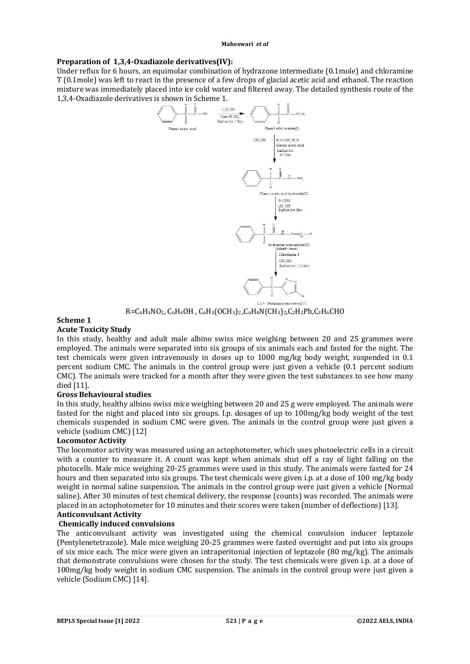## **Preparation of 1,3,4-Oxadiazole derivatives(IV):**

Under reflux for 6 hours, an equimolar combination of hydrazone intermediate (0.1mole) and chloramine T (0.1mole) was left to react in the presence of a few drops of glacial acetic acid and ethanol. The reaction mixture was immediately placed into ice cold water and filtered away. The detailed synthesis route of the 1,3,4-Oxadiazole derivatives is shown in Scheme 1.



 $R=C_6H_4NO_2$ ,  $C_6H_4OH$ ,  $C_6H_3(OCH_3)_2$ ,  $C_6H_4N(CH_3)_2$ ,  $C_2H_2Ph$ ,  $C_3H_6CHO$ 

# **Scheme 1**

## **Acute Toxicity Study**

In this study, healthy and adult male albino swiss mice weighing between 20 and 25 grammes were employed. The animals were separated into six groups of six animals each and fasted for the night. The test chemicals were given intravenously in doses up to 1000 mg/kg body weight, suspended in 0.1 percent sodium CMC. The animals in the control group were just given a vehicle (0.1 percent sodium CMC). The animals were tracked for a month after they were given the test substances to see how many died [11].

## **Gross Behavioural studies**

In this study, healthy albino swiss mice weighing between 20 and 25 g were employed. The animals were fasted for the night and placed into six groups. I.p. dosages of up to 100mg/kg body weight of the test chemicals suspended in sodium CMC were given. The animals in the control group were just given a vehicle (sodium CMC) [12]

## **Locomotor Activity**

The locomotor activity was measured using an actophotometer, which uses photoelectric cells in a circuit with a counter to measure it. A count was kept when animals shut off a ray of light falling on the photocells. Male mice weighing 20-25 grammes were used in this study. The animals were fasted for 24 hours and then separated into six groups. The test chemicals were given i.p. at a dose of 100 mg/kg body weight in normal saline suspension. The animals in the control group were just given a vehicle (Normal saline). After 30 minutes of test chemical delivery, the response (counts) was recorded. The animals were placed in an actophotometer for 10 minutes and their scores were taken (number of deflections) [13].

# **Anticonvulsant Activity**

# **Chemically induced convulsions**

The anticonvulsant activity was investigated using the chemical convulsion inducer leptazole (Pentylenetetrazole). Male mice weighing 20-25 grammes were fasted overnight and put into six groups of six mice each. The mice were given an intraperitonial injection of leptazole (80 mg/kg). The animals that demonstrate convulsions were chosen for the study. The test chemicals were given i.p. at a dose of 100mg/kg body weight in sodium CMC suspension. The animals in the control group were just given a vehicle (Sodium CMC) [14].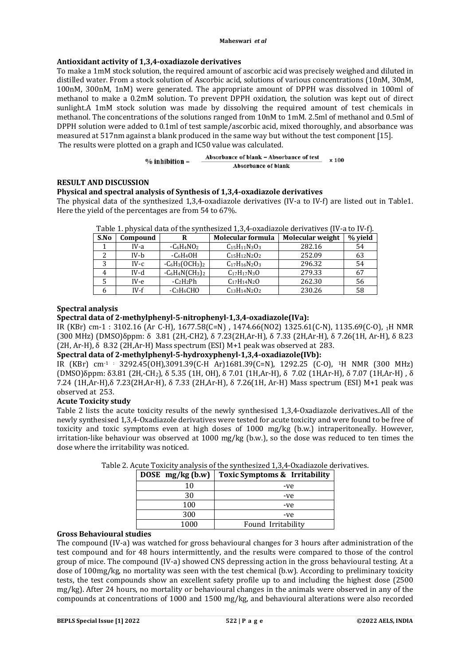## **Antioxidant activity of 1,3,4-oxadiazole derivatives**

To make a 1mM stock solution, the required amount of ascorbic acid was precisely weighed and diluted in distilled water. From a stock solution of Ascorbic acid, solutions of various concentrations (10nM, 30nM, 100nM, 300nM, 1nM) were generated. The appropriate amount of DPPH was dissolved in 100ml of methanol to make a 0.2mM solution. To prevent DPPH oxidation, the solution was kept out of direct sunlight.A 1mM stock solution was made by dissolving the required amount of test chemicals in methanol. The concentrations of the solutions ranged from 10nM to 1mM. 2.5ml of methanol and 0.5ml of DPPH solution were added to 0.1ml of test sample/ascorbic acid, mixed thoroughly, and absorbance was measured at 517nm against a blank produced in the same way but without the test component [15]. The results were plotted on a graph and IC50 value was calculated.

$$
\% inhibition = \n
$$
\frac{\text{Absorbance of blank} - \text{Absorbance of test}}{\text{Absorbance of blank}}
$$
 x 100
$$

#### **RESULT AND DISCUSSION**

#### **Physical and spectral analysis of Synthesis of 1,3,4-oxadiazole derivatives**

The physical data of the synthesized 1,3,4-oxadiazole derivatives (IV-a to IV-f) are listed out in Table1. Here the yield of the percentages are from 54 to 67%.

| S.No | Compound | R                  | Molecular formula        | Molecular weight | % vield |
|------|----------|--------------------|--------------------------|------------------|---------|
|      | IV-a     | $-C_6H_4NO_2$      | $C_{15}H_{11}N_3O_3$     | 282.16           | 54      |
|      | IV-b     | $-C6H4OH$          | $C_{15}H_{12}N_{2}O_{2}$ | 252.09           | 63      |
|      | $IV-c$   | $-C_6H_3(OCH_3)_2$ | $C_{17}H_{16}N_{2}O_{3}$ | 296.32           | 54      |
| 4    | IV-d     | $-C_6H_4N(CH_3)_2$ | $C_{17}H_{17}N_{3}O$     | 279.33           | 67      |
|      | IV-e     | $-C2H2Ph$          | $C_{17}H_{14}N_{2}O$     | 262.30           | 56      |
|      | $IV-f$   | $-C3H6CHO$         | $C_{13}H_{14}N_2O_2$     | 230.26           | 58      |

Table 1. physical data of the synthesized 1,3,4-oxadiazole derivatives (IV-a to IV-f).

#### **Spectral analysis**

#### **Spectral data of 2-methylphenyl-5-nitrophenyl-1,3,4-oxadiazole(IVa):**

IR (KBr) cm-1 : 3102.16 (Ar C-H), 1677.58(C=N) , 1474.66(NO2) 1325.61(C-N), 1135.69(C-O), 1H NMR (300 MHz) (DMSO)δppm: δ 3.81 (2H,-CH2), δ 7.23(2H,Ar-H), δ 7.33 (2H,Ar-H), δ 7.26(1H, Ar-H), δ 8.23  $(2H, Ar-H)$ ,  $\delta$  8.32 (2H,Ar-H) Mass spectrum (ESI) M+1 peak was observed at 283.

# **Spectral data of 2-methylphenyl-5-hydroxyphenyl-1,3,4-oxadiazole(IVb):**

IR (KBr) cm<sup>-1</sup> : 3292.45(OH),3091.39(C-H Ar)1681.39(C=N), 1292.25 (C-O), <sup>1</sup>H NMR (300 MHz) (DMSO)δppm: δ3.81 (2H,-CH2), δ 5.35 (1H, OH), δ 7.01 (1H,Ar-H), δ 7.02 (1H,Ar-H), δ 7.07 (1H,Ar-H) , δ 7.24 (1H,Ar-H),δ 7.23(2H,Ar-H), δ 7.33 (2H,Ar-H), δ 7.26(1H, Ar-H) Mass spectrum (ESI) M+1 peak was observed at 253.

#### **Acute Toxicity study**

Table 2 lists the acute toxicity results of the newly synthesised 1,3,4-Oxadiazole derivatives..All of the newly synthesised 1,3,4-Oxadiazole derivatives were tested for acute toxicity and were found to be free of toxicity and toxic symptoms even at high doses of 1000 mg/kg (b.w.) intraperitoneally. However, irritation-like behaviour was observed at 1000 mg/kg (b.w.), so the dose was reduced to ten times the dose where the irritability was noticed.

| DOSE $mg/kg$ (b.w) | Toxic Symptoms & Irritability |
|--------------------|-------------------------------|
| 10                 | -ve                           |
| 30                 | -ve                           |
| 100                | -ve                           |
| 300                | -ve                           |
| 1000               | Found Irritability            |

Table 2. Acute Toxicity analysis of the synthesized 1,3,4-Oxadiazole derivatives.

## **Gross Behavioural studies**

The compound (IV-a) was watched for gross behavioural changes for 3 hours after administration of the test compound and for 48 hours intermittently, and the results were compared to those of the control group of mice. The compound (IV-a) showed CNS depressing action in the gross behavioural testing. At a dose of 100mg/kg, no mortality was seen with the test chemical (b.w). According to preliminary toxicity tests, the test compounds show an excellent safety profile up to and including the highest dose (2500 mg/kg). After 24 hours, no mortality or behavioural changes in the animals were observed in any of the compounds at concentrations of 1000 and 1500 mg/kg, and behavioural alterations were also recorded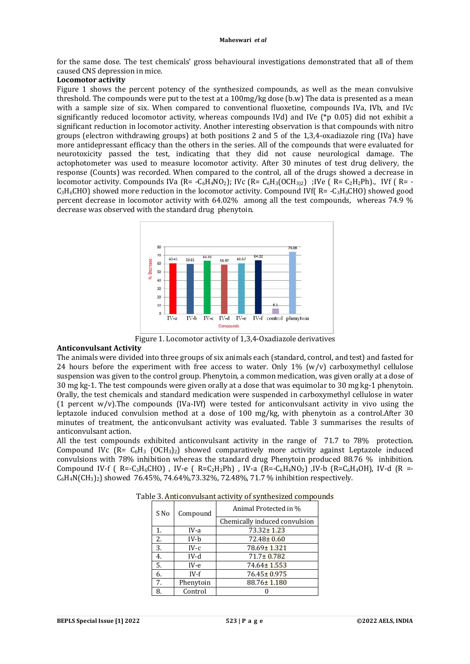for the same dose. The test chemicals' gross behavioural investigations demonstrated that all of them caused CNS depression in mice.

#### **Locomotor activity**

Figure 1 shows the percent potency of the synthesized compounds, as well as the mean convulsive threshold. The compounds were put to the test at a 100mg/kg dose (b.w) The data is presented as a mean with a sample size of six. When compared to conventional fluoxetine, compounds IVa, IVb, and IVc significantly reduced locomotor activity, whereas compounds IVd) and IVe ( $*$ p 0.05) did not exhibit a significant reduction in locomotor activity. Another interesting observation is that compounds with nitro groups (electron withdrawing groups) at both positions 2 and 5 of the 1,3,4-oxadiazole ring (IVa) have more antidepressant efficacy than the others in the series. All of the compounds that were evaluated for neurotoxicity passed the test, indicating that they did not cause neurological damage. The actophotometer was used to measure locomotor activity. After 30 minutes of test drug delivery, the response (Counts) was recorded. When compared to the control, all of the drugs showed a decrease in locomotor activity. Compounds IVa ( $R = -C_6H_4NO_2$ ); IVc ( $R = C_6H_3(OCH_{3/2})$ ; IVe ( $R = C_2H_2Ph$ )., IVf ( $R = -C_6H_3(OCH_{3/2})$  $C_3H_6CHO$ ) showed more reduction in the locomotor activity. Compound IVf( R= - $C_3H_6CHO$ ) showed good percent decrease in locomotor activity with 64.02% among all the test compounds, whereas 74.9 % decrease was observed with the standard drug phenytoin.



Figure 1. Locomotor activity of 1,3,4-Oxadiazole derivatives

#### **Anticonvulsant Activity**

The animals were divided into three groups of six animals each (standard, control, and test) and fasted for 24 hours before the experiment with free access to water. Only  $1\%$  (w/v) carboxymethyl cellulose suspension was given to the control group. Phenytoin, a common medication, was given orally at a dose of 30 mg kg-1. The test compounds were given orally at a dose that was equimolar to 30 mg kg-1 phenytoin. Orally, the test chemicals and standard medication were suspended in carboxymethyl cellulose in water (1 percent w/v).The compounds (IVa-IVf) were tested for anticonvulsant activity in vivo using the leptazole induced convulsion method at a dose of 100 mg/kg, with phenytoin as a control.After 30 minutes of treatment, the anticonvulsant activity was evaluated. Table 3 summarises the results of anticonvulsant action.

All the test compounds exhibited anticonvulsant activity in the range of 71.7 to 78% protection. Compound IVc  $(Re E - C_6H_3 (OCH_3)_2)$  showed comparatively more activity against Leptazole induced convulsions with 78% inhibition whereas the standard drug Phenytoin produced 88.76 % inhibition. Compound IV-f ( $R = C_3H_6CHO$ ), IV-e ( $R = C_2H_2Ph$ ), IV-a ( $R = C_6H_4NO_2$ ), IV-b ( $R = C_6H_4OH$ ), IV-d ( $R = C_6H_4OH$ )  $C_6H_4N\left[\text{CH}_3\right]_2$ ) showed 76.45%, 74.64%, 73.32%, 72.48%, 71.7 % inhibition respectively.

| S No | Compound  | Animal Protected in %         |  |
|------|-----------|-------------------------------|--|
|      |           | Chemically induced convulsion |  |
| 1.   | IV-a      | $73.32 \pm 1.23$              |  |
| 2.   | IV-b      | $72.48 \pm 0.60$              |  |
| 3.   | $IV-c$    | 78.69±1.321                   |  |
| 4.   | IV-d      | $71.7 \pm 0.782$              |  |
| 5.   | IV-e      | 74.64± 1.553                  |  |
| 6.   | $IV-f$    | $76.45 \pm 0.975$             |  |
| 7.   | Phenytoin | $88.76 \pm 1.180$             |  |
| 8.   | Control   |                               |  |

Table 3. Anticonvulsant activity of synthesized compounds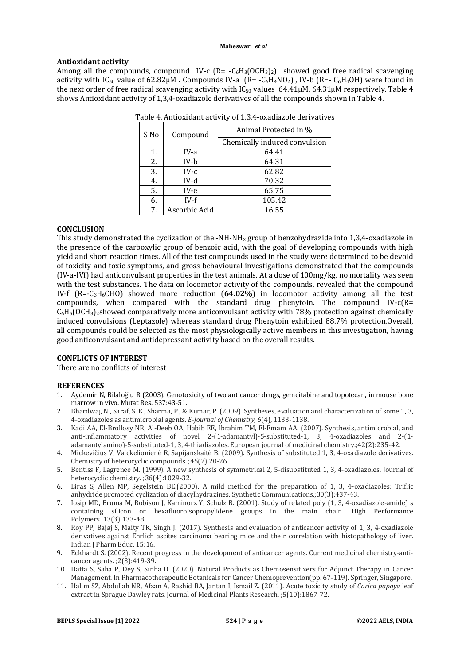#### **Antioxidant activity**

Among all the compounds, compound IV-c  $(R = -C_6H_3(OCH_3)_2)$  showed good free radical scavenging activity with  $IC_{50}$  value of  $62.82\mu$ M. Compounds IV-a (R=  $-C_6H_4NO_2$ ), IV-b (R=  $C_6H_4OH$ ) were found in the next order of free radical scavenging activity with  $IC_{50}$  values 64.41 $\mu$ M, 64.31 $\mu$ M respectively. Table 4 shows Antioxidant activity of 1,3,4-oxadiazole derivatives of all the compounds shown in Table 4.

| S No | Compound      | Animal Protected in %         |  |
|------|---------------|-------------------------------|--|
|      |               | Chemically induced convulsion |  |
| 1.   | IV-a          | 64.41                         |  |
| 2.   | IV-b          | 64.31                         |  |
| 3.   | $IV-c$        | 62.82                         |  |
| 4.   | IV-d          | 70.32                         |  |
| 5.   | IV-e          | 65.75                         |  |
| 6.   | $IV-f$        | 105.42                        |  |
| 7.   | Ascorbic Acid | 16.55                         |  |

| Table 4. Antioxidant activity of 1,3,4-oxadiazole derivatives |  |
|---------------------------------------------------------------|--|

#### **CONCLUSION**

This study demonstrated the cyclization of the -NH-NH<sup>2</sup> group of benzohydrazide into 1,3,4-oxadiazole in the presence of the carboxylic group of benzoic acid, with the goal of developing compounds with high yield and short reaction times. All of the test compounds used in the study were determined to be devoid of toxicity and toxic symptoms, and gross behavioural investigations demonstrated that the compounds (IV-a-IVf) had anticonvulsant properties in the test animals. At a dose of 100mg/kg, no mortality was seen with the test substances. The data on locomotor activity of the compounds, revealed that the compound IV-f (R=-C3H6CHO) showed more reduction (**64.02%**) in locomotor activity among all the test compounds, when compared with the standard drug phenytoin. The compound  $IV-c(R=$  $C_6H_5[OCH_3]$ <sub>2</sub>showed comparatively more anticonvulsant activity with 78% protection against chemically induced convulsions (Leptazole) whereas standard drug Phenytoin exhibited 88.7% protection.Overall, all compounds could be selected as the most physiologically active members in this investigation, having good anticonvulsant and antidepressant activity based on the overall results**.**

#### **CONFLICTS OF INTEREST**

There are no conflicts of interest

#### **REFERENCES**

- 1. Aydemir N, Bilaloğlu R (2003). Genotoxicity of two anticancer drugs, gemcitabine and topotecan, in mouse bone marrow in vivo. Mutat Res. 537:43-51.
- 2. Bhardwaj, N., Saraf, S. K., Sharma, P., & Kumar, P. (2009). Syntheses, evaluation and characterization of some 1, 3, 4-oxadiazoles as antimicrobial agents. *E-journal of Chemistry*, *6*(4), 1133-1138.
- 3. Kadi AA, El-Brollosy NR, Al-Deeb OA, Habib EE, Ibrahim TM, El-Emam AA. (2007). Synthesis, antimicrobial, and anti-inflammatory activities of novel 2-(1-adamantyl)-5-substituted-1, 3, 4-oxadiazoles and 2-(1 adamantylamino)-5-substituted-1, 3, 4-thiadiazoles. European journal of medicinal chemistry.;42(2):235-42.
- 4. Mickevičius V, Vaickelionienė R, Sapijanskaitė B. (2009). Synthesis of substituted 1, 3, 4-oxadiazole derivatives. Chemistry of heterocyclic compounds. ;45(2).20-26
- 5. Bentiss F, Lagrenee M. (1999). A new synthesis of symmetrical 2, 5‐disubstituted 1, 3, 4‐oxadiazoles. Journal of heterocyclic chemistry. ;36(4):1029-32.
- 6. Liras S, Allen MP, Segelstein BE.(2000). A mild method for the preparation of 1, 3, 4-oxadiazoles: Triflic anhydride promoted cyclization of diacylhydrazines. Synthetic Communications.;30(3):437-43.
- 7. Iosip MD, Bruma M, Robison J, Kaminorz Y, Schulz B. (2001). Study of related poly (1, 3, 4-oxadiazole-amide) s containing silicon or hexafluoroisopropylidene groups in the main chain. High Performance Polymers.;13(3):133-48.
- 8. Roy PP, Bajaj S, Maity TK, Singh J. (2017). Synthesis and evaluation of anticancer activity of 1, 3, 4-oxadiazole derivatives against Ehrlich ascites carcinoma bearing mice and their correlation with histopathology of liver. Indian J Pharm Educ. 15:16.
- 9. Eckhardt S. (2002). Recent progress in the development of anticancer agents. Current medicinal chemistry-anticancer agents. ;2(3):419-39.
- 10. Datta S, Saha P, Dey S, Sinha D. (2020). Natural Products as Chemosensitizers for Adjunct Therapy in Cancer Management. In Pharmacotherapeutic Botanicals for Cancer Chemoprevention(pp. 67-119). Springer, Singapore.
- 11. Halim SZ, Abdullah NR, Afzan A, Rashid BA, Jantan I, Ismail Z. (2011). Acute toxicity study of *Carica papaya* leaf extract in Sprague Dawley rats. Journal of Medicinal Plants Research. ;5(10):1867-72.